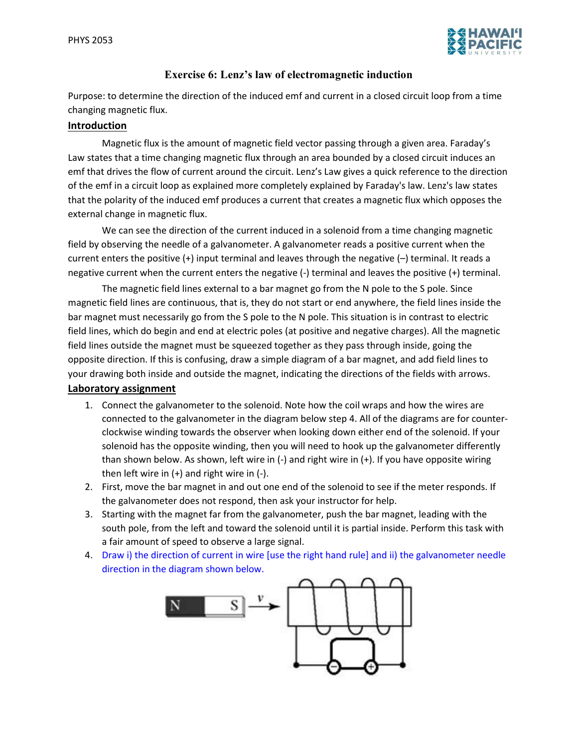

## Exercise 6: Lenz's law of electromagnetic induction

Purpose: to determine the direction of the induced emf and current in a closed circuit loop from a time changing magnetic flux.

## Introduction

Magnetic flux is the amount of magnetic field vector passing through a given area. Faraday's Law states that a time changing magnetic flux through an area bounded by a closed circuit induces an emf that drives the flow of current around the circuit. Lenz's Law gives a quick reference to the direction of the emf in a circuit loop as explained more completely explained by Faraday's law. Lenz's law states that the polarity of the induced emf produces a current that creates a magnetic flux which opposes the external change in magnetic flux.

We can see the direction of the current induced in a solenoid from a time changing magnetic field by observing the needle of a galvanometer. A galvanometer reads a positive current when the current enters the positive (+) input terminal and leaves through the negative (–) terminal. It reads a negative current when the current enters the negative (-) terminal and leaves the positive (+) terminal.

The magnetic field lines external to a bar magnet go from the N pole to the S pole. Since magnetic field lines are continuous, that is, they do not start or end anywhere, the field lines inside the bar magnet must necessarily go from the S pole to the N pole. This situation is in contrast to electric field lines, which do begin and end at electric poles (at positive and negative charges). All the magnetic field lines outside the magnet must be squeezed together as they pass through inside, going the opposite direction. If this is confusing, draw a simple diagram of a bar magnet, and add field lines to your drawing both inside and outside the magnet, indicating the directions of the fields with arrows.

## Laboratory assignment

- 1. Connect the galvanometer to the solenoid. Note how the coil wraps and how the wires are connected to the galvanometer in the diagram below step 4. All of the diagrams are for counterclockwise winding towards the observer when looking down either end of the solenoid. If your solenoid has the opposite winding, then you will need to hook up the galvanometer differently than shown below. As shown, left wire in (-) and right wire in (+). If you have opposite wiring then left wire in  $(+)$  and right wire in  $(-)$ .
- 2. First, move the bar magnet in and out one end of the solenoid to see if the meter responds. If the galvanometer does not respond, then ask your instructor for help.
- 3. Starting with the magnet far from the galvanometer, push the bar magnet, leading with the south pole, from the left and toward the solenoid until it is partial inside. Perform this task with a fair amount of speed to observe a large signal.
- 4. Draw i) the direction of current in wire [use the right hand rule] and ii) the galvanometer needle direction in the diagram shown below.

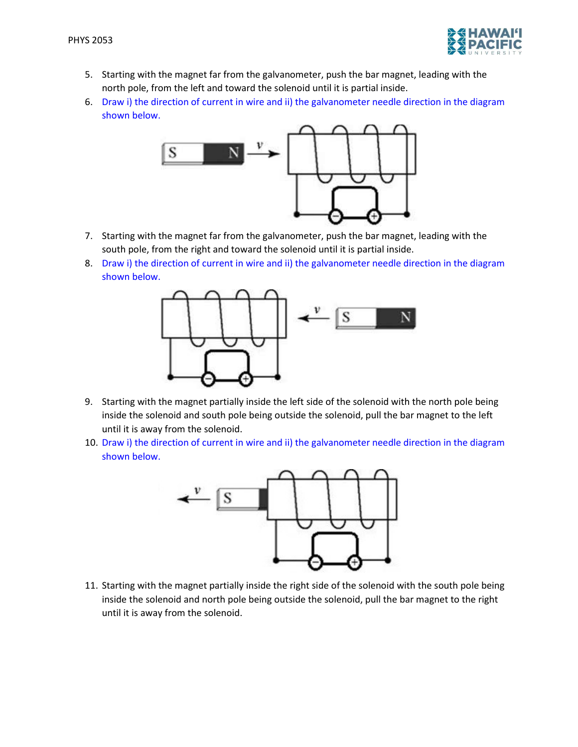

- 5. Starting with the magnet far from the galvanometer, push the bar magnet, leading with the north pole, from the left and toward the solenoid until it is partial inside.
- 6. Draw i) the direction of current in wire and ii) the galvanometer needle direction in the diagram shown below.



- 7. Starting with the magnet far from the galvanometer, push the bar magnet, leading with the south pole, from the right and toward the solenoid until it is partial inside.
- 8. Draw i) the direction of current in wire and ii) the galvanometer needle direction in the diagram shown below.



- 9. Starting with the magnet partially inside the left side of the solenoid with the north pole being inside the solenoid and south pole being outside the solenoid, pull the bar magnet to the left until it is away from the solenoid.
- 10. Draw i) the direction of current in wire and ii) the galvanometer needle direction in the diagram shown below.



11. Starting with the magnet partially inside the right side of the solenoid with the south pole being inside the solenoid and north pole being outside the solenoid, pull the bar magnet to the right until it is away from the solenoid.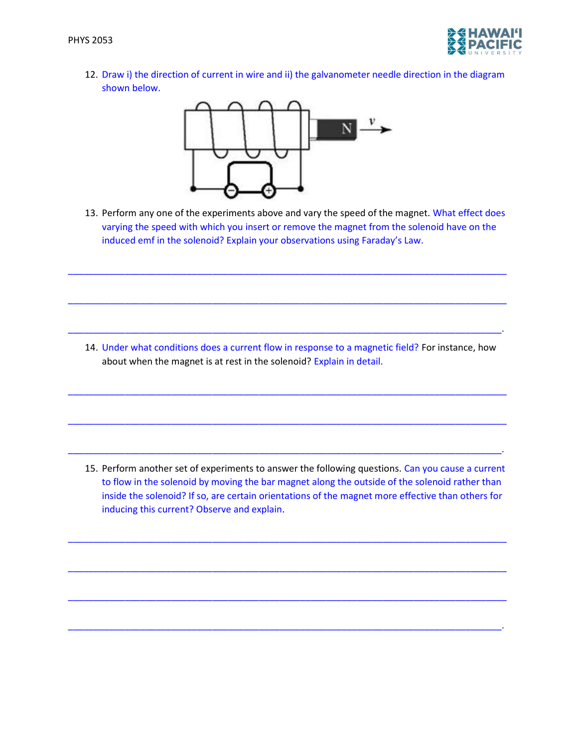

12. Draw i) the direction of current in wire and ii) the galvanometer needle direction in the diagram shown below.



13. Perform any one of the experiments above and vary the speed of the magnet. What effect does varying the speed with which you insert or remove the magnet from the solenoid have on the induced emf in the solenoid? Explain your observations using Faraday's Law.

\_\_\_\_\_\_\_\_\_\_\_\_\_\_\_\_\_\_\_\_\_\_\_\_\_\_\_\_\_\_\_\_\_\_\_\_\_\_\_\_\_\_\_\_\_\_\_\_\_\_\_\_\_\_\_\_\_\_\_\_\_\_\_\_\_\_\_\_\_\_\_\_\_\_\_\_\_\_\_\_\_\_\_\_\_

\_\_\_\_\_\_\_\_\_\_\_\_\_\_\_\_\_\_\_\_\_\_\_\_\_\_\_\_\_\_\_\_\_\_\_\_\_\_\_\_\_\_\_\_\_\_\_\_\_\_\_\_\_\_\_\_\_\_\_\_\_\_\_\_\_\_\_\_\_\_\_\_\_\_\_\_\_\_\_\_\_\_\_\_\_

\_\_\_\_\_\_\_\_\_\_\_\_\_\_\_\_\_\_\_\_\_\_\_\_\_\_\_\_\_\_\_\_\_\_\_\_\_\_\_\_\_\_\_\_\_\_\_\_\_\_\_\_\_\_\_\_\_\_\_\_\_\_\_\_\_\_\_\_\_\_\_\_\_\_\_\_\_\_\_\_\_\_\_\_.

14. Under what conditions does a current flow in response to a magnetic field? For instance, how about when the magnet is at rest in the solenoid? Explain in detail.

\_\_\_\_\_\_\_\_\_\_\_\_\_\_\_\_\_\_\_\_\_\_\_\_\_\_\_\_\_\_\_\_\_\_\_\_\_\_\_\_\_\_\_\_\_\_\_\_\_\_\_\_\_\_\_\_\_\_\_\_\_\_\_\_\_\_\_\_\_\_\_\_\_\_\_\_\_\_\_\_\_\_\_\_\_

\_\_\_\_\_\_\_\_\_\_\_\_\_\_\_\_\_\_\_\_\_\_\_\_\_\_\_\_\_\_\_\_\_\_\_\_\_\_\_\_\_\_\_\_\_\_\_\_\_\_\_\_\_\_\_\_\_\_\_\_\_\_\_\_\_\_\_\_\_\_\_\_\_\_\_\_\_\_\_\_\_\_\_\_\_

\_\_\_\_\_\_\_\_\_\_\_\_\_\_\_\_\_\_\_\_\_\_\_\_\_\_\_\_\_\_\_\_\_\_\_\_\_\_\_\_\_\_\_\_\_\_\_\_\_\_\_\_\_\_\_\_\_\_\_\_\_\_\_\_\_\_\_\_\_\_\_\_\_\_\_\_\_\_\_\_\_\_\_\_.

15. Perform another set of experiments to answer the following questions. Can you cause a current to flow in the solenoid by moving the bar magnet along the outside of the solenoid rather than inside the solenoid? If so, are certain orientations of the magnet more effective than others for inducing this current? Observe and explain.

\_\_\_\_\_\_\_\_\_\_\_\_\_\_\_\_\_\_\_\_\_\_\_\_\_\_\_\_\_\_\_\_\_\_\_\_\_\_\_\_\_\_\_\_\_\_\_\_\_\_\_\_\_\_\_\_\_\_\_\_\_\_\_\_\_\_\_\_\_\_\_\_\_\_\_\_\_\_\_\_\_\_\_\_\_

\_\_\_\_\_\_\_\_\_\_\_\_\_\_\_\_\_\_\_\_\_\_\_\_\_\_\_\_\_\_\_\_\_\_\_\_\_\_\_\_\_\_\_\_\_\_\_\_\_\_\_\_\_\_\_\_\_\_\_\_\_\_\_\_\_\_\_\_\_\_\_\_\_\_\_\_\_\_\_\_\_\_\_\_\_

\_\_\_\_\_\_\_\_\_\_\_\_\_\_\_\_\_\_\_\_\_\_\_\_\_\_\_\_\_\_\_\_\_\_\_\_\_\_\_\_\_\_\_\_\_\_\_\_\_\_\_\_\_\_\_\_\_\_\_\_\_\_\_\_\_\_\_\_\_\_\_\_\_\_\_\_\_\_\_\_\_\_\_\_\_

\_\_\_\_\_\_\_\_\_\_\_\_\_\_\_\_\_\_\_\_\_\_\_\_\_\_\_\_\_\_\_\_\_\_\_\_\_\_\_\_\_\_\_\_\_\_\_\_\_\_\_\_\_\_\_\_\_\_\_\_\_\_\_\_\_\_\_\_\_\_\_\_\_\_\_\_\_\_\_\_\_\_\_\_.